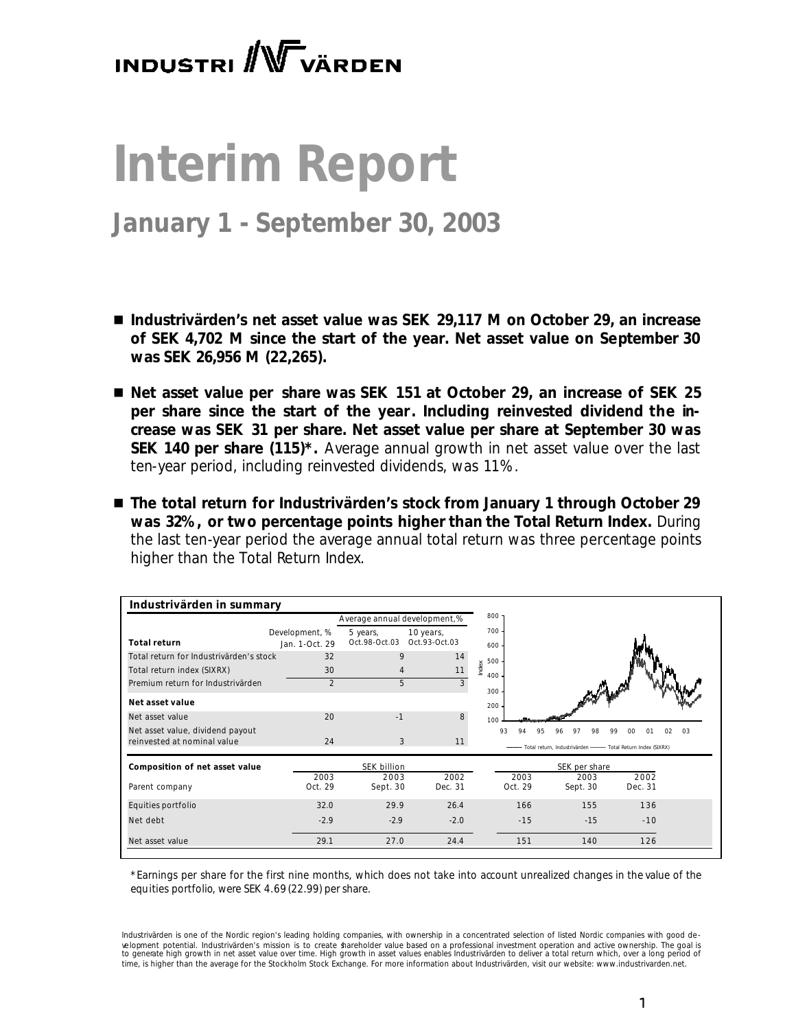# **INDUSTRI** W VÄRDEN

# **Interim Report**

# **January 1 - September 30, 2003**

- *Industrivärden's net asset value was SEK 29,117 M on October 29, an increase of SEK 4,702 M since the start of the year. Net asset value on September 30 was SEK 26,956 M (22,265).*
- Net asset value per share was SEK 151 at October 29, an increase of SEK 25 *per share since the start of the year. Including reinvested dividend the increase was SEK 31 per share. Net asset value per share at September 30 was SEK 140 per share (115)\*. Average annual growth in net asset value over the last ten-year period, including reinvested dividends, was 11%.*
- The total return for Industrivärden's stock from January 1 through October 29 *was 32%, or two percentage points higher than the Total Return Index. During the last ten-year period the average annual total return was three percentage points higher than the Total Return Index.*

| Industrivärden in summary               |                |                              |               |              |                                                                     |         |          |
|-----------------------------------------|----------------|------------------------------|---------------|--------------|---------------------------------------------------------------------|---------|----------|
|                                         |                | Average annual development,% |               | $800 -$      |                                                                     |         |          |
|                                         | Development, % | 5 years,                     | 10 years,     | 700          |                                                                     |         |          |
| <b>Total return</b>                     | Jan. 1-Oct. 29 | Oct.98-Oct.03                | Oct.93-Oct.03 | 600          |                                                                     |         |          |
| Total return for Industrivärden's stock | 32             | 9                            | 14            | 500          |                                                                     |         |          |
| Total return index (SIXRX)              | 30             | $\overline{4}$               | 11            | Index<br>400 |                                                                     |         |          |
| Premium return for Industrivärden       | $\overline{2}$ | 5                            | 3             | 300          |                                                                     |         |          |
| Net asset value                         |                |                              |               | 200          |                                                                     |         |          |
| Net asset value                         | 20             | $-1$                         | 8             | 100          |                                                                     |         |          |
| Net asset value, dividend payout        |                |                              |               | 93           | 97<br>98<br>95                                                      | QQ      | 03<br>02 |
| reinvested at nominal value             | 24             | 3                            | 11            |              | -- Total return, Industrivärden -------- Total Return Index (SIXRX) |         |          |
| Composition of net asset value          |                | SEK billion                  |               |              | SEK per share                                                       |         |          |
|                                         | 2003           | 2003                         | 2002          | 2003         | 2003                                                                | 2002    |          |
| Parent company                          | Oct. 29        | Sept. 30                     | Dec. 31       | Oct. 29      | Sept. 30                                                            | Dec. 31 |          |
| Equities portfolio                      | 32.0           | 29.9                         | 26.4          | 166          | 155                                                                 | 136     |          |
| Net debt                                | $-2.9$         | $-2.9$                       | $-2.0$        | $-15$        | $-15$                                                               | $-10$   |          |
| Net asset value                         | 29.1           | 27.0                         | 24.4          | 151          | 140                                                                 | 126     |          |

*\*Earnings per share for the first nine months, which does not take into account unrealized changes in the value of the equities portfolio, were SEK 4.69 (22.99) per share.* 

*Industrivärden is one of the Nordic region's leading holding companies, with ownership in a concentrated selection of listed Nordic companies with good de*  velopment potential. Industrivärden's mission is to create shareholder value based on a professional investment operation and active ownership. The goal is<br>to generate high growth in net asset value over time. High growth *time, is higher than the average for the Stockholm Stock Exchange. For more information about Industrivärden, visit our website: www.industrivarden.net.*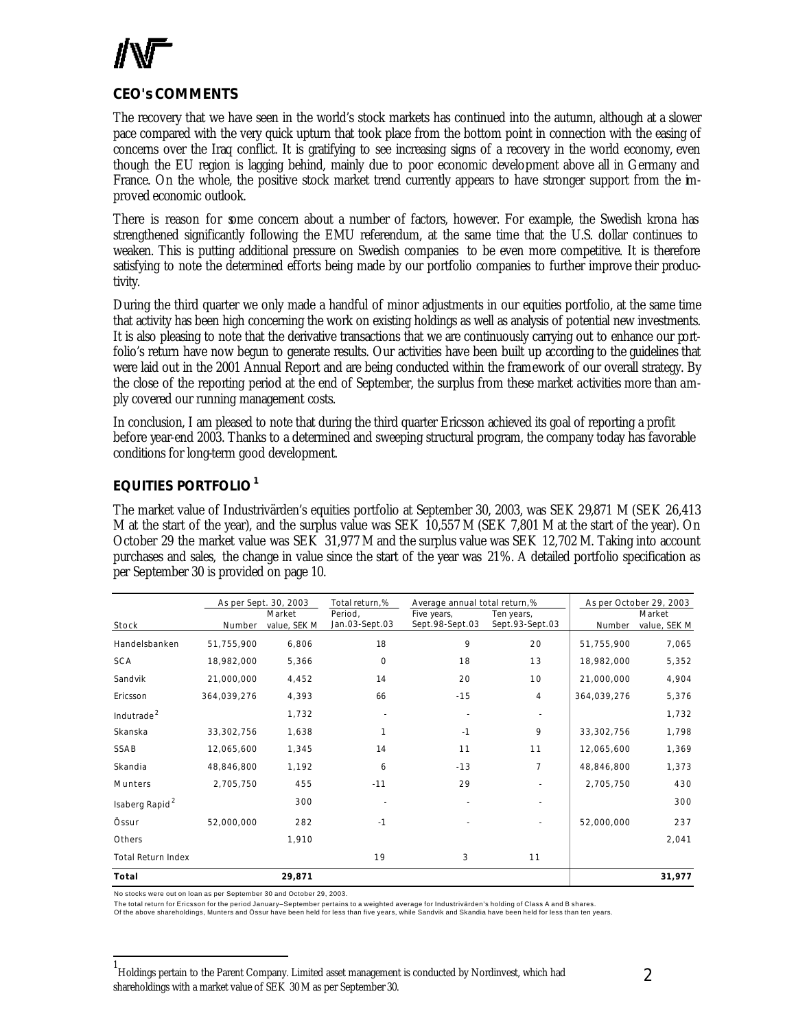

# **CEO's COMMENTS**

The recovery that we have seen in the world's stock markets has continued into the autumn, although at a slower pace compared with the very quick upturn that took place from the bottom point in connection with the easing of concerns over the Iraq conflict. It is gratifying to see increasing signs of a recovery in the world economy, even though the EU region is lagging behind, mainly due to poor economic development above all in Germany and France. On the whole, the positive stock market trend currently appears to have stronger support from the improved economic outlook.

There is reason for some concern about a number of factors, however. For example, the Swedish krona has strengthened significantly following the EMU referendum, at the same time that the U.S. dollar continues to weaken. This is putting additional pressure on Swedish companies to be even more competitive. It is therefore satisfying to note the determined efforts being made by our portfolio companies to further improve their productivity.

During the third quarter we only made a handful of minor adjustments in our equities portfolio, at the same time that activity has been high concerning the work on existing holdings as well as analysis of potential new investments. It is also pleasing to note that the derivative transactions that we are continuously carrying out to enhance our portfolio's return have now begun to generate results. Our activities have been built up according to the guidelines that were laid out in the 2001 Annual Report and are being conducted within the framework of our overall strategy. By the close of the reporting period at the end of September, the surplus from these market activities more than amply covered our running management costs.

In conclusion, I am pleased to note that during the third quarter Ericsson achieved its goal of reporting a profit before year-end 2003. Thanks to a determined and sweeping structural program, the company today has favorable conditions for long-term good development.

# **EQUITIES PORTFOLIO<sup>1</sup>**

The market value of Industrivärden's equities portfolio at September 30, 2003, was SEK 29,871 M (SEK 26,413 M at the start of the year), and the surplus value was SEK 10,557 M (SEK 7,801 M at the start of the year). On October 29 the market value was SEK 31,977 M and the surplus value was SEK 12,702 M. Taking into account purchases and sales, the change in value since the start of the year was 21%. A detailed portfolio specification as per September 30 is provided on page 10.

|                            | As per Sept. 30, 2003<br>Total return,%<br>Average annual total return,% |              |                |                 | As per October 29, 2003 |             |              |
|----------------------------|--------------------------------------------------------------------------|--------------|----------------|-----------------|-------------------------|-------------|--------------|
|                            |                                                                          | Market       | Period,        | Five years,     | Ten years,              |             | Market       |
| Stock                      | Number                                                                   | value, SEK M | Jan.03-Sept.03 | Sept.98-Sept.03 | Sept.93-Sept.03         | Number      | value, SEK M |
| Handelsbanken              | 51,755,900                                                               | 6,806        | 18             | 9               | 20                      | 51,755,900  | 7,065        |
| <b>SCA</b>                 | 18,982,000                                                               | 5,366        | $\mathbf 0$    | 18              | 13                      | 18,982,000  | 5,352        |
| Sandvik                    | 21,000,000                                                               | 4,452        | 14             | 20              | 10                      | 21,000,000  | 4,904        |
| Ericsson                   | 364,039,276                                                              | 4,393        | 66             | $-15$           | 4                       | 364,039,276 | 5,376        |
| Indutrade <sup>2</sup>     |                                                                          | 1,732        |                |                 |                         |             | 1,732        |
| Skanska                    | 33,302,756                                                               | 1,638        |                | $-1$            | 9                       | 33,302,756  | 1,798        |
| SSAB                       | 12,065,600                                                               | 1,345        | 14             | 11              | 11                      | 12,065,600  | 1,369        |
| Skandia                    | 48,846,800                                                               | 1,192        | 6              | $-13$           | $\overline{7}$          | 48,846,800  | 1,373        |
| Munters                    | 2,705,750                                                                | 455          | $-11$          | 29              |                         | 2,705,750   | 430          |
| Isaberg Rapid <sup>2</sup> |                                                                          | 300          |                |                 |                         |             | 300          |
| Össur                      | 52,000,000                                                               | 282          | $-1$           |                 |                         | 52,000,000  | 237          |
| Others                     |                                                                          | 1,910        |                |                 |                         |             | 2,041        |
| <b>Total Return Index</b>  |                                                                          |              | 19             | 3               | 11                      |             |              |
| Total                      |                                                                          | 29,871       |                |                 |                         |             | 31,977       |

No stocks were out on loan as per September 30 and October 29, 2003.

l

The total return for Ericsson for the period January–September pertains to a weighted average for Industrivärden's holding of Class A and B shares.

Of the above shareholdings, Munters and Össur have been held for less than five years, while Sandvik and Skandia have been held for less than ten years.

<sup>1</sup> Holdings pertain to the Parent Company. Limited asset management is conducted by Nordinvest, which had shareholdings with a market value of SEK 30 M as per September 30.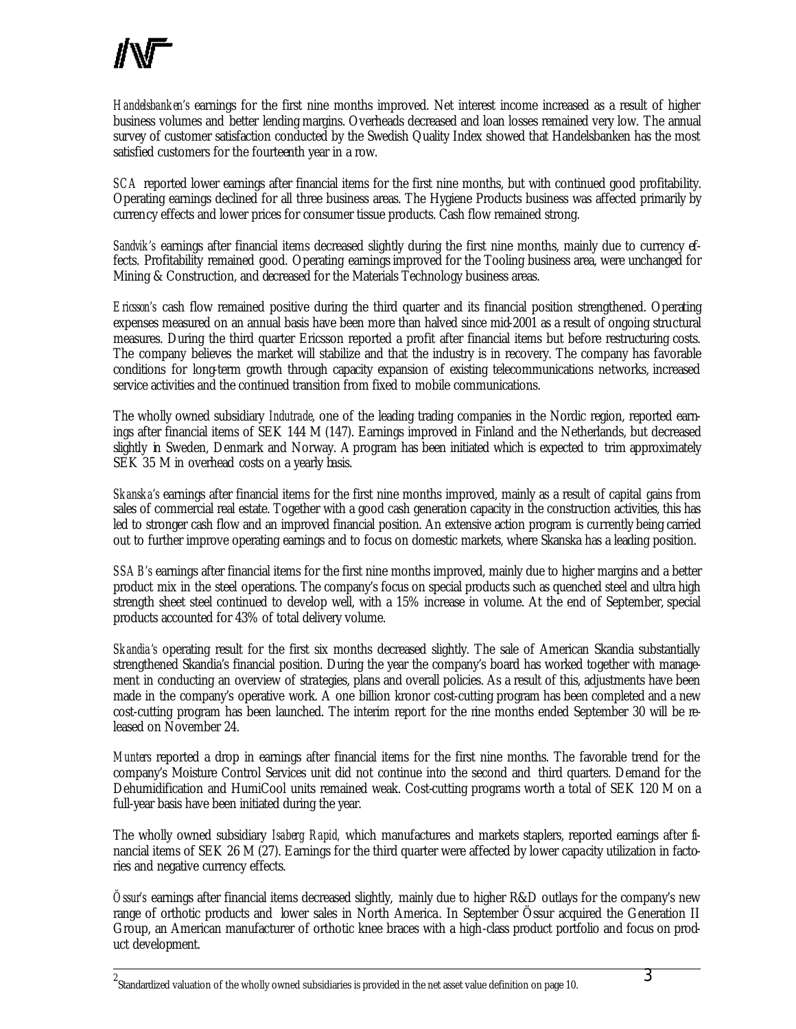*Handelsbanken's* earnings for the first nine months improved. Net interest income increased as a result of higher business volumes and better lending margins. Overheads decreased and loan losses remained very low. The annual survey of customer satisfaction conducted by the Swedish Quality Index showed that Handelsbanken has the most satisfied customers for the fourteenth year in a row.

*SCA* reported lower earnings after financial items for the first nine months, but with continued good profitability. Operating earnings declined for all three business areas. The Hygiene Products business was affected primarily by currency effects and lower prices for consumer tissue products. Cash flow remained strong.

*Sandvik's* earnings after financial items decreased slightly during the first nine months, mainly due to currency effects. Profitability remained good. Operating earnings improved for the Tooling business area, were unchanged for Mining & Construction, and decreased for the Materials Technology business areas.

*Ericsson's* cash flow remained positive during the third quarter and its financial position strengthened. Operating expenses measured on an annual basis have been more than halved since mid-2001 as a result of ongoing structural measures. During the third quarter Ericsson reported a profit after financial items but before restructuring costs. The company believes the market will stabilize and that the industry is in recovery. The company has favorable conditions for long-term growth through capacity expansion of existing telecommunications networks, increased service activities and the continued transition from fixed to mobile communications.

The wholly owned subsidiary *Indutrade*, one of the leading trading companies in the Nordic region, reported earnings after financial items of SEK 144 M (147). Earnings improved in Finland and the Netherlands, but decreased slightly in Sweden, Denmark and Norway. A program has been initiated which is expected to trim approximately SEK 35 M in overhead costs on a yearly basis.

*Skanska's* earnings after financial items for the first nine months improved, mainly as a result of capital gains from sales of commercial real estate. Together with a good cash generation capacity in the construction activities, this has led to stronger cash flow and an improved financial position. An extensive action program is currently being carried out to further improve operating earnings and to focus on domestic markets, where Skanska has a leading position.

*SSAB's* earnings after financial items for the first nine months improved, mainly due to higher margins and a better product mix in the steel operations. The company's focus on special products such as quenched steel and ultra high strength sheet steel continued to develop well, with a 15% increase in volume. At the end of September, special products accounted for 43% of total delivery volume.

*Skandia's* operating result for the first six months decreased slightly. The sale of American Skandia substantially strengthened Skandia's financial position. During the year the company's board has worked together with management in conducting an overview of strategies, plans and overall policies. As a result of this, adjustments have been made in the company's operative work. A one billion kronor cost-cutting program has been completed and a new cost-cutting program has been launched. The interim report for the nine months ended September 30 will be released on November 24.

*Munters* reported a drop in earnings after financial items for the first nine months. The favorable trend for the company's Moisture Control Services unit did not continue into the second and third quarters. Demand for the Dehumidification and HumiCool units remained weak. Cost-cutting programs worth a total of SEK 120 M on a full-year basis have been initiated during the year.

The wholly owned subsidiary *Isaberg Rapid,* which manufactures and markets staplers, reported earnings after financial items of SEK 26 M (27). Earnings for the third quarter were affected by lower capacity utilization in factories and negative currency effects.

*Össur's* earnings after financial items decreased slightly, mainly due to higher R&D outlays for the company's new range of orthotic products and lower sales in North America. In September Össur acquired the Generation II Group, an American manufacturer of orthotic knee braces with a high-class product portfolio and focus on product development.

2<br><sup>2</sup> Standardized valuation of the wholly owned subsidiaries is provided in the net asset value definition on page 10.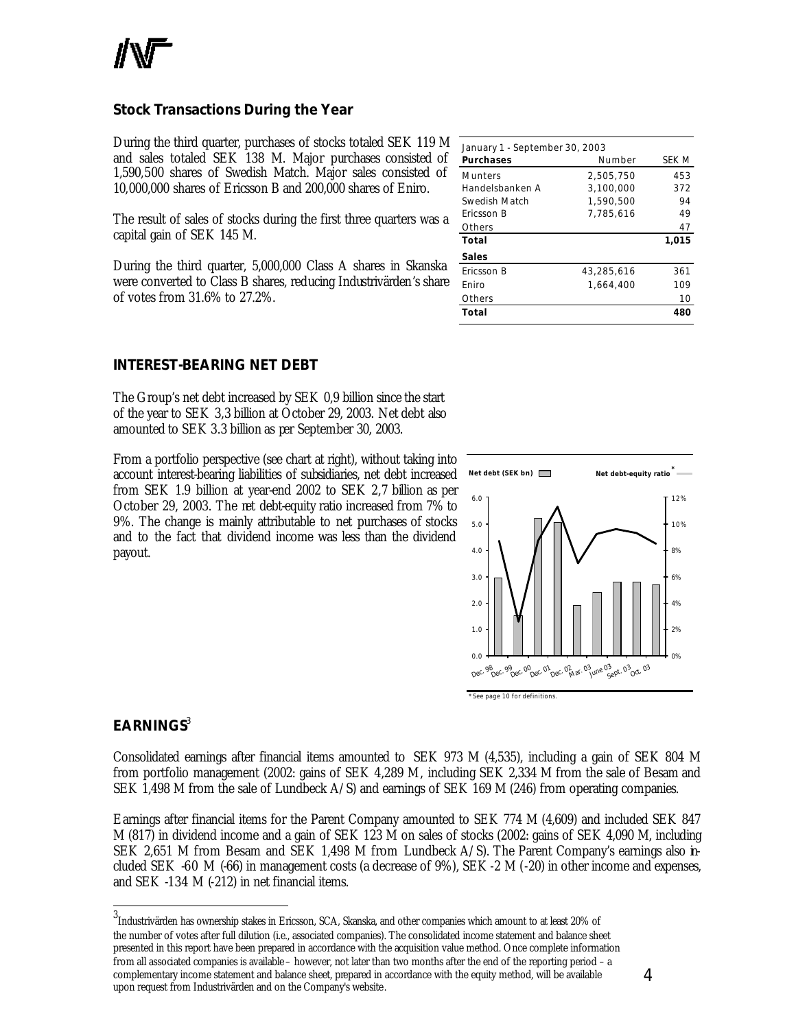

# **Stock Transactions During the Year**

During the third quarter, purchases of stocks totaled SEK 119 M and sales totaled SEK 138 M. Major purchases consisted of 1,590,500 shares of Swedish Match. Major sales consisted of 10,000,000 shares of Ericsson B and 200,000 shares of Eniro.

The result of sales of stocks during the first three quarters was a capital gain of SEK 145 M.

During the third quarter, 5,000,000 Class A shares in Skanska were converted to Class B shares, reducing Industrivärden's share of votes from 31.6% to 27.2%.

| <b>INTEREST-BEARING NET DEBT</b> |  |  |  |
|----------------------------------|--|--|--|
|----------------------------------|--|--|--|

The Group's net debt increased by SEK 0,9 billion since the start of the year to SEK 3,3 billion at October 29, 2003. Net debt also amounted to SEK 3.3 billion as per September 30, 2003.

From a portfolio perspective (see chart at right), without taking into account interest-bearing liabilities of subsidiaries, net debt increased from SEK 1.9 billion at year-end 2002 to SEK 2,7 billion as per October 29, 2003. The net debt-equity ratio increased from 7% to 9%. The change is mainly attributable to net purchases of stocks and to the fact that dividend income was less than the dividend payout.

| January 1 - September 30, 2003 |            |       |  |  |  |
|--------------------------------|------------|-------|--|--|--|
| <b>Purchases</b>               | Number     | SEK M |  |  |  |
| <b>Munters</b>                 | 2.505.750  | 453   |  |  |  |
| Handelsbanken A                | 3.100.000  | 372   |  |  |  |
| Swedish Match                  | 1.590.500  | 94    |  |  |  |
| Ericsson B                     | 7.785.616  | 49    |  |  |  |
| Others                         |            | 47    |  |  |  |
| Total                          |            | 1,015 |  |  |  |
| Sales                          |            |       |  |  |  |
| Fricsson B                     | 43.285.616 | 361   |  |  |  |
| Fniro                          | 1.664.400  | 109   |  |  |  |
| Others                         |            | 10    |  |  |  |
| Total                          |            | 480   |  |  |  |
|                                |            |       |  |  |  |



# **EARNINGS**<sup>3</sup>

l

Consolidated earnings after financial items amounted to SEK 973 M (4,535), including a gain of SEK 804 M from portfolio management (2002: gains of SEK 4,289 M, including SEK 2,334 M from the sale of Besam and SEK 1,498 M from the sale of Lundbeck A/S) and earnings of SEK 169 M (246) from operating companies.

Earnings after financial items for the Parent Company amounted to SEK 774 M (4,609) and included SEK 847 M (817) in dividend income and a gain of SEK 123 M on sales of stocks (2002: gains of SEK 4,090 M, including SEK 2,651 M from Besam and SEK 1,498 M from Lundbeck A/S). The Parent Company's earnings also included SEK -60 M (-66) in management costs (a decrease of 9%), SEK -2 M (-20) in other income and expenses, and SEK -134 M (-212) in net financial items.

3<br><sup>3</sup>Industrivärden has ownership stakes in Ericsson, SCA, Skanska, and other companies which amount to at least 20% of the number of votes after full dilution (i.e., associated companies). The consolidated income statement and balance sheet presented in this report have been prepared in accordance with the acquisition value method. Once complete information from all associated companies is available – however, not later than two months after the end of the reporting period – a complementary income statement and balance sheet, prepared in accordance with the equity method, will be available upon request from Industrivärden and on the Company's website.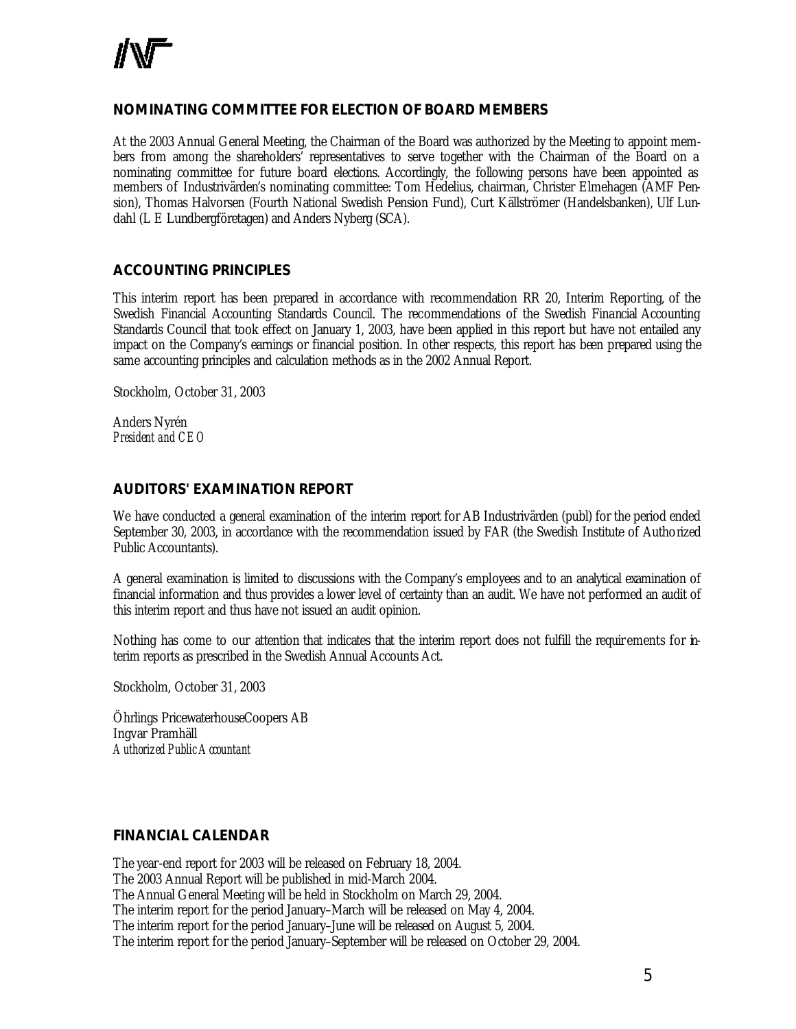# **NOMINATING COMMITTEE FOR ELECTION OF BOARD MEMBERS**

At the 2003 Annual General Meeting, the Chairman of the Board was authorized by the Meeting to appoint members from among the shareholders' representatives to serve together with the Chairman of the Board on a nominating committee for future board elections. Accordingly, the following persons have been appointed as members of Industrivärden's nominating committee: Tom Hedelius, chairman, Christer Elmehagen (AMF Pension), Thomas Halvorsen (Fourth National Swedish Pension Fund), Curt Källströmer (Handelsbanken), Ulf Lundahl (L E Lundbergföretagen) and Anders Nyberg (SCA).

# **ACCOUNTING PRINCIPLES**

This interim report has been prepared in accordance with recommendation RR 20, Interim Reporting, of the Swedish Financial Accounting Standards Council. The recommendations of the Swedish Financial Accounting Standards Council that took effect on January 1, 2003, have been applied in this report but have not entailed any impact on the Company's earnings or financial position. In other respects, this report has been prepared using the same accounting principles and calculation methods as in the 2002 Annual Report.

Stockholm, October 31, 2003

Anders Nyrén *President and CEO*

# **AUDITORS' EXAMINATION REPORT**

We have conducted a general examination of the interim report for AB Industrivärden (publ) for the period ended September 30, 2003, in accordance with the recommendation issued by FAR (the Swedish Institute of Authorized Public Accountants).

A general examination is limited to discussions with the Company's employees and to an analytical examination of financial information and thus provides a lower level of certainty than an audit. We have not performed an audit of this interim report and thus have not issued an audit opinion.

Nothing has come to our attention that indicates that the interim report does not fulfill the requir ements for interim reports as prescribed in the Swedish Annual Accounts Act.

Stockholm, October 31, 2003

Öhrlings PricewaterhouseCoopers AB Ingvar Pramhäll *Authorized Public Accountant*

# **FINANCIAL CALENDAR**

The year-end report for 2003 will be released on February 18, 2004. The 2003 Annual Report will be published in mid-March 2004. The Annual General Meeting will be held in Stockholm on March 29, 2004. The interim report for the period January–March will be released on May 4, 2004. The interim report for the period January–June will be released on August 5, 2004.

The interim report for the period January–September will be released on October 29, 2004.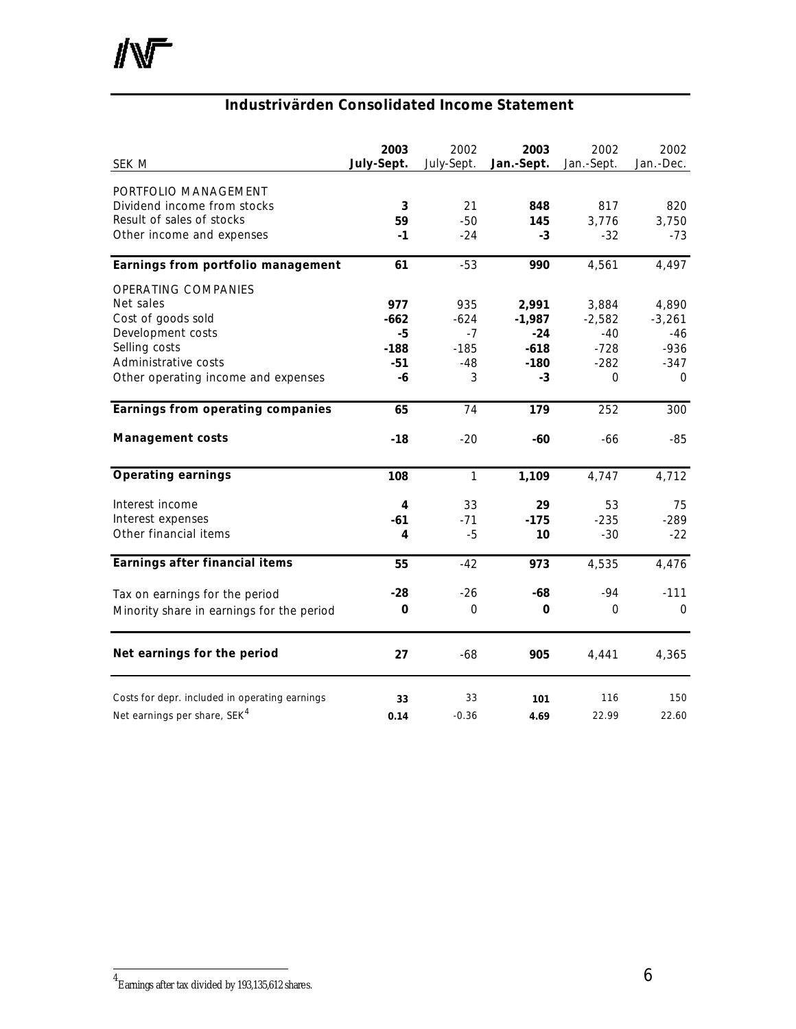# **Industrivärden Consolidated Income Statement**

| SEK M                                          | 2003<br>July-Sept. | 2002<br>July-Sept. | 2003<br>Jan.-Sept. | 2002<br>Jan.-Sept. | 2002<br>Jan.-Dec. |
|------------------------------------------------|--------------------|--------------------|--------------------|--------------------|-------------------|
| PORTFOLIO MANAGEMENT                           |                    |                    |                    |                    |                   |
| Dividend income from stocks                    | 3                  | 21                 | 848                | 817                | 820               |
| Result of sales of stocks                      | 59                 | $-50$              | 145                | 3,776              | 3,750             |
| Other income and expenses                      | $-1$               | $-24$              | $-3$               | $-32$              | $-73$             |
| Earnings from portfolio management             | 61                 | $-53$              | 990                | 4,561              | 4,497             |
| OPERATING COMPANIES                            |                    |                    |                    |                    |                   |
| Net sales                                      | 977                | 935                | 2,991              | 3,884              | 4,890             |
| Cost of goods sold                             | $-662$             | $-624$             | $-1,987$           | $-2,582$           | $-3,261$          |
| Development costs                              | -5                 | $-7$               | $-24$              | $-40$              | $-46$             |
| Selling costs                                  | $-188$             | $-185$             | $-618$             | $-728$             | $-936$            |
| Administrative costs                           | $-51$              | $-48$              | $-180$             | $-282$             | $-347$            |
| Other operating income and expenses            | -6                 | 3                  | -3                 | 0                  | $\Omega$          |
| Earnings from operating companies              | 65                 | 74                 | 179                | 252                | 300               |
| <b>Management costs</b>                        | $-18$              | $-20$              | $-60$              | -66                | $-85$             |
| <b>Operating earnings</b>                      | 108                | $\mathbf{1}$       | 1,109              | 4,747              | 4,712             |
| Interest income                                | 4                  | 33                 | 29                 | 53                 | 75                |
| Interest expenses                              | -61                | $-71$              | $-175$             | $-235$             | $-289$            |
| Other financial items                          | 4                  | $-5$               | 10                 | $-30$              | $-22$             |
| Earnings after financial items                 | 55                 | $-42$              | 973                | 4,535              | 4,476             |
| Tax on earnings for the period                 | $-28$              | $-26$              | $-68$              | $-94$              | $-111$            |
| Minority share in earnings for the period      | 0                  | $\overline{0}$     | 0                  | $\overline{0}$     | $\Omega$          |
| Net earnings for the period                    | 27                 | $-68$              | 905                | 4,441              | 4,365             |
| Costs for depr. included in operating earnings | 33                 | 33                 | 101                | 116                | 150               |
| Net earnings per share, SEK <sup>4</sup>       | 0.14               | $-0.36$            | 4.69               | 22.99              | 22.60             |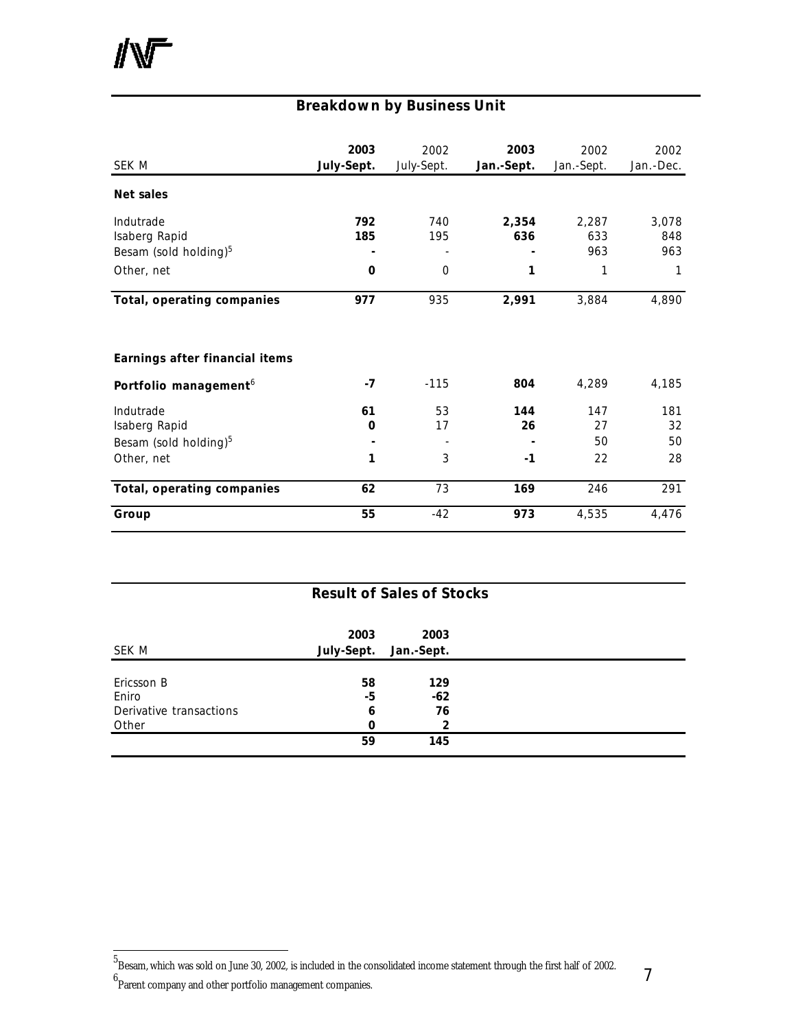# **Breakdown by Business Unit**

| SEK M                                                                         | 2003<br>July-Sept. | 2002<br>July-Sept.     | 2003<br>Jan.-Sept. | 2002<br>Jan.-Sept.       | 2002<br>Jan.-Dec.        |
|-------------------------------------------------------------------------------|--------------------|------------------------|--------------------|--------------------------|--------------------------|
| Net sales                                                                     |                    |                        |                    |                          |                          |
| Indutrade<br>Isaberg Rapid<br>Besam (sold holding) <sup>5</sup><br>Other, net | 792<br>185<br>0    | 740<br>195<br>$\Omega$ | 2,354<br>636<br>1  | 2,287<br>633<br>963<br>1 | 3,078<br>848<br>963<br>1 |
| Total, operating companies                                                    | 977                | 935                    | 2,991              | 3,884                    | 4,890                    |
| Earnings after financial items                                                |                    |                        |                    |                          |                          |
| Portfolio management <sup>6</sup>                                             | -7                 | $-115$                 | 804                | 4,289                    | 4,185                    |
| Indutrade<br>Isaberg Rapid<br>Besam (sold holding) <sup>5</sup><br>Other, net | 61<br>0<br>1       | 53<br>17<br>3          | 144<br>26<br>$-1$  | 147<br>27<br>50<br>22    | 181<br>32<br>50<br>28    |
| Total, operating companies                                                    | 62                 | 73                     | 169                | 246                      | 291                      |
| Group                                                                         | 55                 | $-42$                  | 973                | 4,535                    | 4,476                    |

| <b>Result of Sales of Stocks</b> |            |            |  |  |  |  |  |
|----------------------------------|------------|------------|--|--|--|--|--|
|                                  | 2003       | 2003       |  |  |  |  |  |
| SEK M                            | July-Sept. | Jan.-Sept. |  |  |  |  |  |
| Ericsson B                       | 58         | 129        |  |  |  |  |  |
| Eniro                            | -5         | $-62$      |  |  |  |  |  |
| Derivative transactions          | 6          | 76         |  |  |  |  |  |
| Other                            | $\Omega$   | 2          |  |  |  |  |  |
|                                  | 59         | 145        |  |  |  |  |  |

l

 $^5$ Besam, which was sold on June 30, 2002, is included in the consolidated income statement through the first half of 2002.

<sup>6</sup> Parent company and other portfolio management companies.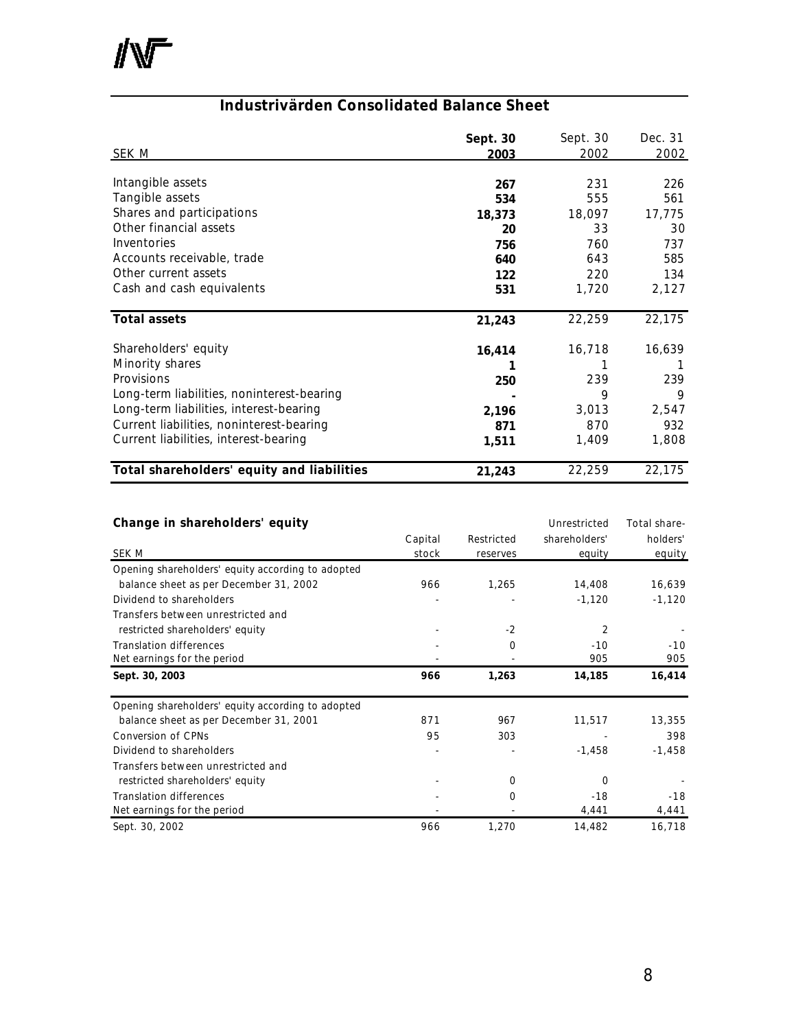小厂

# **Industrivärden Consolidated Balance Sheet**

|                                            | Sept. 30 | Sept. 30 | Dec. 31 |
|--------------------------------------------|----------|----------|---------|
| SEK M                                      | 2003     | 2002     | 2002    |
|                                            |          |          |         |
| Intangible assets                          | 267      | 231      | 226     |
| Tangible assets                            | 534      | 555      | 561     |
| Shares and participations                  | 18,373   | 18,097   | 17,775  |
| Other financial assets                     | 20       | 33       | 30      |
| Inventories                                | 756      | 760      | 737     |
| Accounts receivable, trade                 | 640      | 643      | 585     |
| Other current assets                       | 122      | 220      | 134     |
| Cash and cash equivalents                  | 531      | 1,720    | 2,127   |
|                                            |          |          |         |
| <b>Total assets</b>                        | 21,243   | 22,259   | 22,175  |
|                                            |          |          |         |
| Shareholders' equity                       | 16,414   | 16,718   | 16,639  |
| Minority shares                            |          |          |         |
| Provisions                                 | 250      | 239      | 239     |
| Long-term liabilities, noninterest-bearing |          | 9        | 9       |
| Long-term liabilities, interest-bearing    | 2,196    | 3,013    | 2,547   |
| Current liabilities, noninterest-bearing   | 871      | 870      | 932     |
| Current liabilities, interest-bearing      | 1,511    | 1,409    | 1,808   |
|                                            |          |          |         |
| Total shareholders' equity and liabilities | 21,243   | 22,259   | 22,175  |

| Change in shareholders' equity                    |         |            | Unrestricted  | Total share- |
|---------------------------------------------------|---------|------------|---------------|--------------|
|                                                   | Capital | Restricted | shareholders' | holders'     |
| SEK M                                             | stock   | reserves   | equity        | equity       |
| Opening shareholders' equity according to adopted |         |            |               |              |
| balance sheet as per December 31, 2002            | 966     | 1,265      | 14,408        | 16,639       |
| Dividend to shareholders                          |         |            | $-1,120$      | $-1,120$     |
| Transfers between unrestricted and                |         |            |               |              |
| restricted shareholders' equity                   |         | $-2$       | 2             |              |
| <b>Translation differences</b>                    |         | 0          | $-10$         | $-10$        |
| Net earnings for the period                       |         |            | 905           | 905          |
| Sept. 30, 2003                                    | 966     | 1,263      | 14,185        | 16,414       |
| Opening shareholders' equity according to adopted |         |            |               |              |
| balance sheet as per December 31, 2001            | 871     | 967        | 11,517        | 13,355       |
| Conversion of CPNs                                | 95      | 303        |               | 398          |
| Dividend to shareholders                          |         |            | $-1,458$      | $-1,458$     |
| Transfers between unrestricted and                |         |            |               |              |
| restricted shareholders' equity                   |         | 0          | O             |              |
| <b>Translation differences</b>                    |         | $\Omega$   | $-18$         | $-18$        |
| Net earnings for the period                       |         |            | 4,441         | 4,441        |
| Sept. 30, 2002                                    | 966     | 1,270      | 14,482        | 16,718       |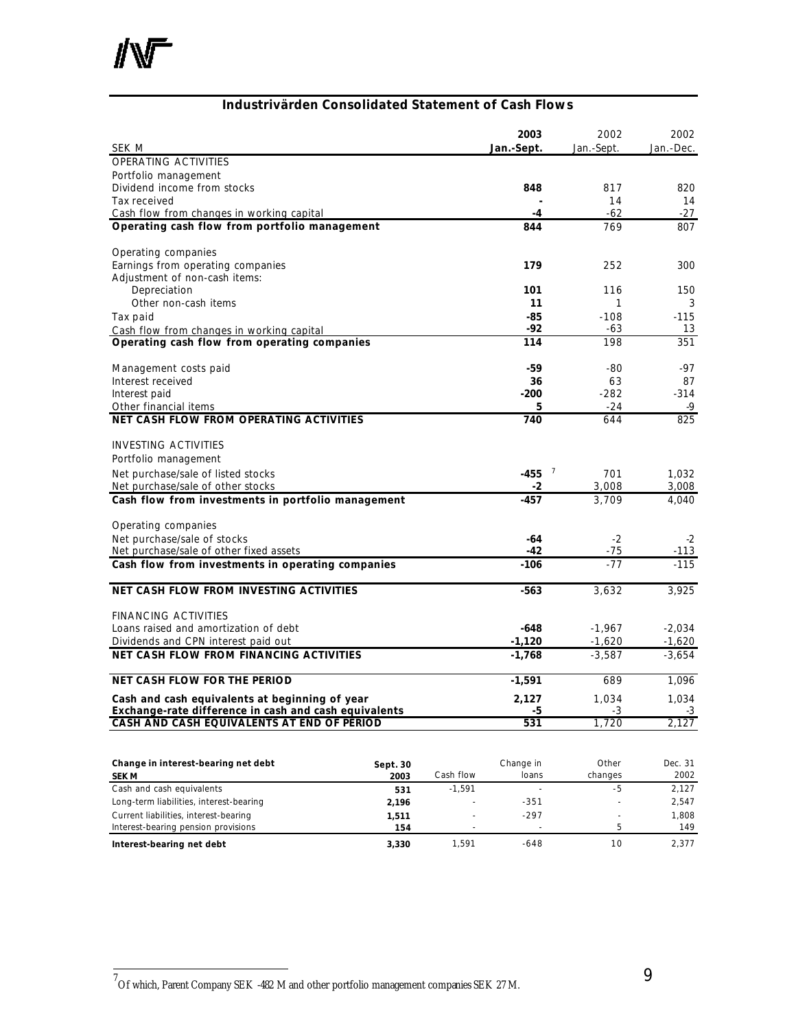

# **Industrivärden Consolidated Statement of Cash Flows**

| SEK M                                                                                 |              |           | 2003<br>Jan.-Sept.   | 2002<br>Jan.-Sept.    | 2002<br>Jan.-Dec.    |
|---------------------------------------------------------------------------------------|--------------|-----------|----------------------|-----------------------|----------------------|
| OPERATING ACTIVITIES                                                                  |              |           |                      |                       |                      |
| Portfolio management                                                                  |              |           |                      |                       |                      |
| Dividend income from stocks                                                           |              |           | 848                  | 817                   | 820                  |
| Tax received                                                                          |              |           |                      | 14                    | 14                   |
| Cash flow from changes in working capital                                             |              |           | -4                   | $-62$                 | $-27$                |
| Operating cash flow from portfolio management                                         |              |           | 844                  | 769                   | 807                  |
| Operating companies                                                                   |              |           |                      |                       |                      |
| Earnings from operating companies                                                     |              |           | 179                  | 252                   | 300                  |
| Adjustment of non-cash items:                                                         |              |           |                      |                       |                      |
| Depreciation                                                                          |              |           | 101                  | 116                   | 150                  |
| Other non-cash items                                                                  |              |           | 11                   | 1                     | 3                    |
| Tax paid                                                                              |              |           | -85                  | $-108$                | $-115$               |
| Cash flow from changes in working capital                                             |              |           | -92                  | -63                   | 13                   |
| Operating cash flow from operating companies                                          |              |           | 114                  | 198                   | 351                  |
| Management costs paid                                                                 |              |           | -59                  | -80                   | -97                  |
| Interest received                                                                     |              |           | 36                   | 63                    | 87                   |
| Interest paid                                                                         |              |           | -200                 | $-282$                | $-314$               |
| Other financial items                                                                 |              |           | 5                    | $-24$                 | -9                   |
| <b>NET CASH FLOW FROM OPERATING ACTIVITIES</b>                                        |              |           | 740                  | 644                   | 825                  |
| <b>INVESTING ACTIVITIES</b>                                                           |              |           |                      |                       |                      |
| Portfolio management                                                                  |              |           |                      |                       |                      |
| Net purchase/sale of listed stocks                                                    |              |           | -455                 | $\overline{7}$<br>701 | 1,032                |
| Net purchase/sale of other stocks                                                     |              |           | $-2$                 | 3,008                 | 3,008                |
| Cash flow from investments in portfolio management                                    |              |           | -457                 | 3,709                 | 4,040                |
| Operating companies                                                                   |              |           |                      |                       |                      |
| Net purchase/sale of stocks                                                           |              |           | -64                  | -2                    | $-2$                 |
| Net purchase/sale of other fixed assets                                               |              |           | -42                  | $-75$                 | $-113$               |
| Cash flow from investments in operating companies                                     |              |           | $-106$               | $-77$                 | $-115$               |
| <b>NET CASH FLOW FROM INVESTING ACTIVITIES</b>                                        |              |           | $-563$               | 3,632                 | 3,925                |
|                                                                                       |              |           |                      |                       |                      |
| <b>FINANCING ACTIVITIES</b>                                                           |              |           |                      |                       | $-2.034$             |
| Loans raised and amortization of debt                                                 |              |           | $-648$               | $-1,967$              |                      |
| Dividends and CPN interest paid out<br><b>NET CASH FLOW FROM FINANCING ACTIVITIES</b> |              |           | $-1,120$<br>$-1,768$ | $-1,620$<br>$-3,587$  | $-1,620$<br>$-3,654$ |
|                                                                                       |              |           |                      |                       |                      |
| <b>NET CASH FLOW FOR THE PERIOD</b>                                                   |              |           | $-1,591$             | 689                   | 1,096                |
| Cash and cash equivalents at beginning of year                                        |              |           | 2,127                | 1,034                 | 1,034                |
| Exchange-rate difference in cash and cash equivalents                                 |              |           | -5                   | $-3$                  | $-3$                 |
| CASH AND CASH EQUIVALENTS AT END OF PERIOD                                            |              |           | 531                  | 1,720                 | 2,127                |
|                                                                                       |              |           |                      |                       |                      |
| Change in interest-bearing net debt                                                   | Sept. 30     |           | Change in            | Other                 | Dec. 31              |
| <b>SEK M</b>                                                                          | 2003         | Cash flow | loans                | changes               | 2002                 |
| Cash and cash equivalents                                                             | 531          | $-1,591$  |                      | $-5$                  | 2,127                |
| Long-term liabilities, interest-bearing                                               | 2,196        |           | $-351$               |                       | 2,547                |
| Current liabilities, interest-bearing<br>Interest-bearing pension provisions          | 1,511<br>154 |           | $-297$               | 5                     | 1,808<br>149         |
|                                                                                       |              |           |                      |                       |                      |

**Interest-bearing net debt 3,330** 1,591 -648 10 2,377

 7 Of which, Parent Company SEK -482 M and other portfolio management companies SEK 27 M.